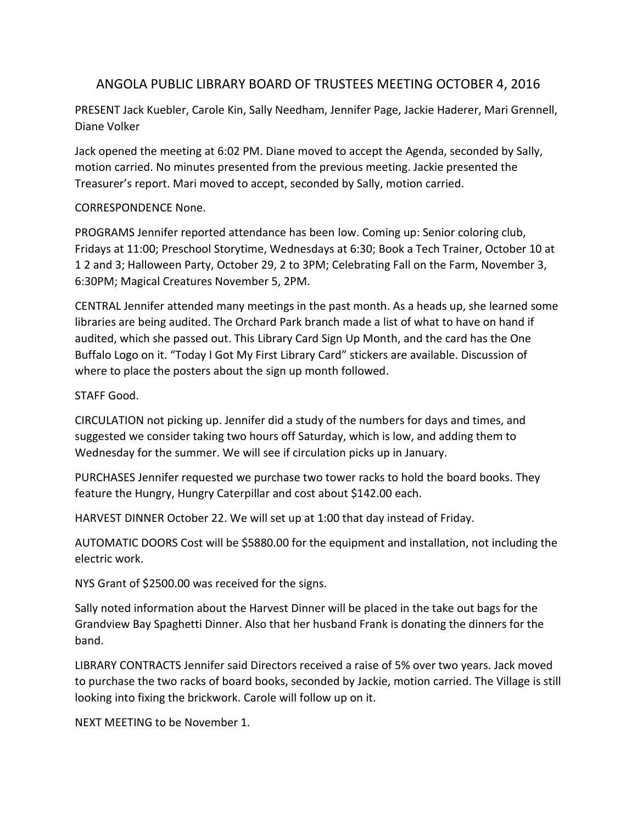## ANGOLA PUBLIC LIBRARY BOARD OF TRUSTEES MEETING OCTOBER 4, 2016

PRESENT Jack Kuebler, Carole Kin, Sally Needham, Jennifer Page, Jackie Haderer, Mari Grennell, Diane Volker

Jack opened the meeting at 6:02 PM. Diane moved to accept the Agenda, seconded by Sally, motion carried. No minutes presented from the previous meeting. Jackie presented the Treasurer's report. Mari moved to accept, seconded by Sally, motion carried.

## CORRESPONDENCE None.

PROGRAMS Jennifer reported attendance has been low. Coming up: Senior coloring club, Fridays at 11:00; Preschool Storytime, Wednesdays at 6:30; Book a Tech Trainer, October 10 at 1 2 and 3; Halloween Party, October 29, 2 to 3PM; Celebrating Fall on the Farm, November 3, 6:30PM; Magical Creatures November 5, 2PM.

CENTRAL Jennifer attended many meetings in the past month. As a heads up, she learned some libraries are being audited. The Orchard Park branch made a list of what to have on hand if audited, which she passed out. This Library Card Sign Up Month, and the card has the One Buffalo Logo on it. "Today I Got My First Library Card" stickers are available. Discussion of where to place the posters about the sign up month followed.

STAFF Good.

CIRCULATION not picking up. Jennifer did a study of the numbers for days and times, and suggested we consider taking two hours off Saturday, which is low, and adding them to Wednesday for the summer. We will see if circulation picks up in January.

PURCHASES Jennifer requested we purchase two tower racks to hold the board books. They feature the Hungry, Hungry Caterpillar and cost about \$142.00 each.

HARVEST DINNER October 22. We will set up at 1:00 that day instead of Friday.

AUTOMATIC DOORS Cost will be \$5880.00 for the equipment and installation, not including the electric work.

NYS Grant of \$2500.00 was received for the signs.

Sally noted information about the Harvest Dinner will be placed in the take out bags for the Grandview Bay Spaghetti Dinner. Also that her husband Frank is donating the dinners for the band.

LIBRARY CONTRACTS Jennifer said Directors received a raise of 5% over two years. Jack moved to purchase the two racks of board books, seconded by Jackie, motion carried. The Village is still looking into fixing the brickwork. Carole will follow up on it.

NEXT MEETING to be November 1.